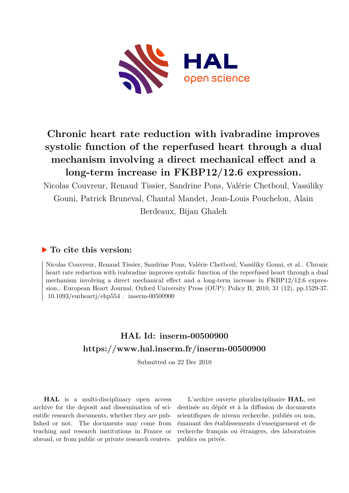

## **Chronic heart rate reduction with ivabradine improves systolic function of the reperfused heart through a dual mechanism involving a direct mechanical effect and a long-term increase in FKBP12/12.6 expression.**

Nicolas Couvreur, Renaud Tissier, Sandrine Pons, Valérie Chetboul, Vassiliky Gouni, Patrick Bruneval, Chantal Mandet, Jean-Louis Pouchelon, Alain Berdeaux, Bijan Ghaleh

### **To cite this version:**

Nicolas Couvreur, Renaud Tissier, Sandrine Pons, Valérie Chetboul, Vassiliky Gouni, et al.. Chronic heart rate reduction with ivabradine improves systolic function of the reperfused heart through a dual mechanism involving a direct mechanical effect and a long-term increase in FKBP12/12.6 expression.. European Heart Journal, Oxford University Press (OUP): Policy B, 2010, 31 (12), pp.1529-37.  $10.1093/eurheartj/ehp554$ . inserm-00500900

## **HAL Id: inserm-00500900 <https://www.hal.inserm.fr/inserm-00500900>**

Submitted on 22 Dec 2010

**HAL** is a multi-disciplinary open access archive for the deposit and dissemination of scientific research documents, whether they are published or not. The documents may come from teaching and research institutions in France or abroad, or from public or private research centers.

L'archive ouverte pluridisciplinaire **HAL**, est destinée au dépôt et à la diffusion de documents scientifiques de niveau recherche, publiés ou non, émanant des établissements d'enseignement et de recherche français ou étrangers, des laboratoires publics ou privés.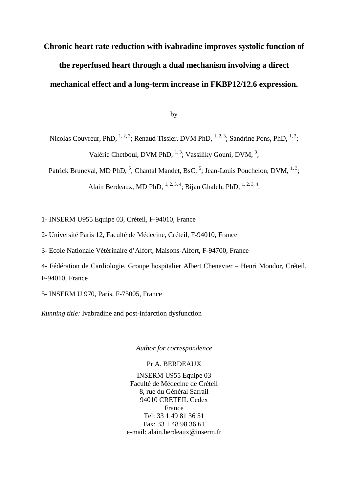# **Chronic heart rate reduction with ivabradine improves systolic function of the reperfused heart through a dual mechanism involving a direct mechanical effect and a long-term increase in FKBP12/12.6 expression.**

by

Nicolas Couvreur, PhD,  $^{1, 2, 3}$ ; Renaud Tissier, DVM PhD,  $^{1, 2, 3}$ ; Sandrine Pons, PhD,  $^{1, 2}$ ; Valérie Chetboul, DVM PhD,  $^{1,3}$ ; Vassiliky Gouni, DVM,  $^{3}$ ;

Patrick Bruneval, MD PhD, <sup>5</sup>; Chantal Mandet, BsC, <sup>5</sup>; Jean-Louis Pouchelon, DVM, <sup>1, 3</sup>;

Alain Berdeaux, MD PhD,  $^{1,2,3,4}$ ; Bijan Ghaleh, PhD,  $^{1,2,3,4}$ .

1- INSERM U955 Equipe 03, Créteil, F-94010, France

- 2- Université Paris 12, Faculté de Médecine, Créteil, F-94010, France
- 3- Ecole Nationale Vétérinaire d'Alfort, Maisons-Alfort, F-94700, France
- 4- Fédération de Cardiologie, Groupe hospitalier Albert Chenevier Henri Mondor, Créteil, F-94010, France
- 5- INSERM U 970, Paris, F-75005, France

*Running title:* Ivabradine and post-infarction dysfunction

*Author for correspondence* 

#### Pr A. BERDEAUX

INSERM U955 Equipe 03 Faculté de Médecine de Créteil 8, rue du Général Sarrail 94010 CRETEIL Cedex France Tel: 33 1 49 81 36 51 Fax: 33 1 48 98 36 61 e-mail: alain.berdeaux@inserm.fr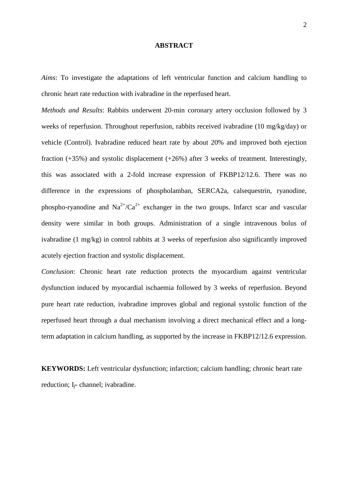#### **ABSTRACT**

*Aims*: To investigate the adaptations of left ventricular function and calcium handling to chronic heart rate reduction with ivabradine in the reperfused heart.

*Methods and Results*: Rabbits underwent 20-min coronary artery occlusion followed by 3 weeks of reperfusion. Throughout reperfusion, rabbits received ivabradine (10 mg/kg/day) or vehicle (Control). Ivabradine reduced heart rate by about 20% and improved both ejection fraction (+35%) and systolic displacement (+26%) after 3 weeks of treatment. Interestingly, this was associated with a 2-fold increase expression of FKBP12/12.6. There was no difference in the expressions of phospholamban, SERCA2a, calsequestrin, ryanodine, phospho-ryanodine and  $Na^{2+}/Ca^{2+}$  exchanger in the two groups. Infarct scar and vascular density were similar in both groups. Administration of a single intravenous bolus of ivabradine (1 mg/kg) in control rabbits at 3 weeks of reperfusion also significantly improved acutely ejection fraction and systolic displacement.

*Conclusion*: Chronic heart rate reduction protects the myocardium against ventricular dysfunction induced by myocardial ischaemia followed by 3 weeks of reperfusion. Beyond pure heart rate reduction, ivabradine improves global and regional systolic function of the reperfused heart through a dual mechanism involving a direct mechanical effect and a longterm adaptation in calcium handling, as supported by the increase in FKBP12/12.6 expression.

**KEYWORDS:** Left ventricular dysfunction; infarction; calcium handling; chronic heart rate reduction; I*f*- channel; ivabradine.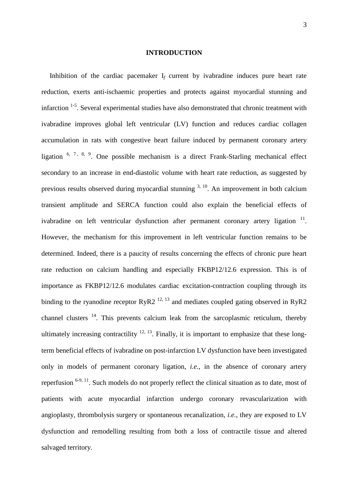#### **INTRODUCTION**

Inhibition of the cardiac pacemaker  $I_f$  current by ivabradine induces pure heart rate reduction, exerts anti-ischaemic properties and protects against myocardial stunning and infarction  $1-5$ . Several experimental studies have also demonstrated that chronic treatment with ivabradine improves global left ventricular (LV) function and reduces cardiac collagen accumulation in rats with congestive heart failure induced by permanent coronary artery ligation  $6, 7, 8, 9$ . One possible mechanism is a direct Frank-Starling mechanical effect secondary to an increase in end-diastolic volume with heart rate reduction, as suggested by previous results observed during myocardial stunning  $3, 10$ . An improvement in both calcium transient amplitude and SERCA function could also explain the beneficial effects of ivabradine on left ventricular dysfunction after permanent coronary artery ligation  $11$ . However, the mechanism for this improvement in left ventricular function remains to be determined. Indeed, there is a paucity of results concerning the effects of chronic pure heart rate reduction on calcium handling and especially FKBP12/12.6 expression. This is of importance as FKBP12/12.6 modulates cardiac excitation-contraction coupling through its binding to the ryanodine receptor RyR2<sup>12, 13</sup> and mediates coupled gating observed in RyR2 channel clusters  $14$ . This prevents calcium leak from the sarcoplasmic reticulum, thereby ultimately increasing contractility  $12, 13$ . Finally, it is important to emphasize that these longterm beneficial effects of ivabradine on post-infarction LV dysfunction have been investigated only in models of permanent coronary ligation, *i.e.*, in the absence of coronary artery reperfusion  $6-9$ , 11. Such models do not properly reflect the clinical situation as to date, most of patients with acute myocardial infarction undergo coronary revascularization with angioplasty, thrombolysis surgery or spontaneous recanalization, *i.e.*, they are exposed to LV dysfunction and remodelling resulting from both a loss of contractile tissue and altered salvaged territory.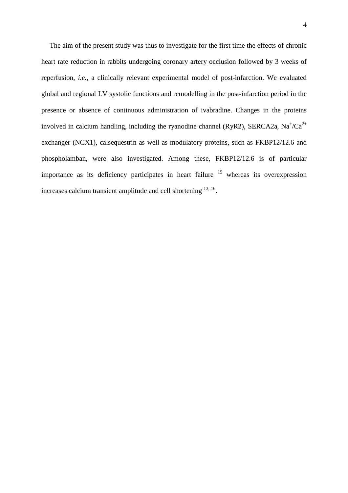The aim of the present study was thus to investigate for the first time the effects of chronic heart rate reduction in rabbits undergoing coronary artery occlusion followed by 3 weeks of reperfusion, *i.e.*, a clinically relevant experimental model of post-infarction. We evaluated global and regional LV systolic functions and remodelling in the post-infarction period in the presence or absence of continuous administration of ivabradine. Changes in the proteins involved in calcium handling, including the ryanodine channel (RyR2), SERCA2a, Na<sup>+</sup>/Ca<sup>2+</sup> exchanger (NCX1), calsequestrin as well as modulatory proteins, such as FKBP12/12.6 and phospholamban, were also investigated. Among these, FKBP12/12.6 is of particular importance as its deficiency participates in heart failure  $15$  whereas its overexpression increases calcium transient amplitude and cell shortening  $^{13, 16}$ .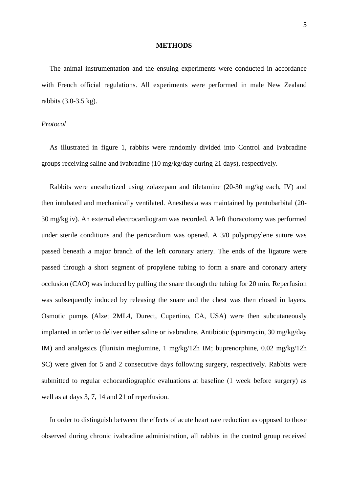#### **METHODS**

The animal instrumentation and the ensuing experiments were conducted in accordance with French official regulations. All experiments were performed in male New Zealand rabbits (3.0-3.5 kg).

#### *Protocol*

As illustrated in figure 1, rabbits were randomly divided into Control and Ivabradine groups receiving saline and ivabradine (10 mg/kg/day during 21 days), respectively.

Rabbits were anesthetized using zolazepam and tiletamine (20-30 mg/kg each, IV) and then intubated and mechanically ventilated. Anesthesia was maintained by pentobarbital (20- 30 mg/kg iv). An external electrocardiogram was recorded. A left thoracotomy was performed under sterile conditions and the pericardium was opened. A 3/0 polypropylene suture was passed beneath a major branch of the left coronary artery. The ends of the ligature were passed through a short segment of propylene tubing to form a snare and coronary artery occlusion (CAO) was induced by pulling the snare through the tubing for 20 min. Reperfusion was subsequently induced by releasing the snare and the chest was then closed in layers. Osmotic pumps (Alzet 2ML4, Durect, Cupertino, CA, USA) were then subcutaneously implanted in order to deliver either saline or ivabradine. Antibiotic (spiramycin, 30 mg/kg/day IM) and analgesics (flunixin meglumine, 1 mg/kg/12h IM; buprenorphine, 0.02 mg/kg/12h SC) were given for 5 and 2 consecutive days following surgery, respectively. Rabbits were submitted to regular echocardiographic evaluations at baseline (1 week before surgery) as well as at days 3, 7, 14 and 21 of reperfusion.

In order to distinguish between the effects of acute heart rate reduction as opposed to those observed during chronic ivabradine administration, all rabbits in the control group received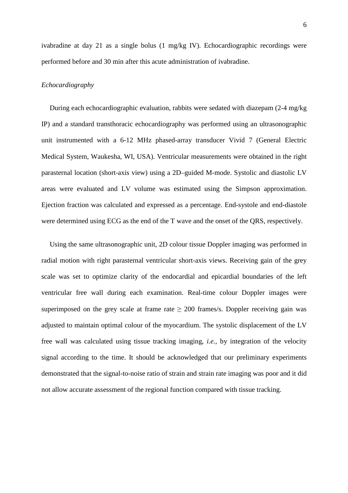ivabradine at day 21 as a single bolus (1 mg/kg IV). Echocardiographic recordings were performed before and 30 min after this acute administration of ivabradine.

#### *Echocardiography*

During each echocardiographic evaluation, rabbits were sedated with diazepam (2-4 mg/kg IP) and a standard transthoracic echocardiography was performed using an ultrasonographic unit instrumented with a 6-12 MHz phased-array transducer Vivid 7 (General Electric Medical System, Waukesha, WI, USA). Ventricular measurements were obtained in the right parasternal location (short-axis view) using a 2D–guided M-mode. Systolic and diastolic LV areas were evaluated and LV volume was estimated using the Simpson approximation. Ejection fraction was calculated and expressed as a percentage. End-systole and end-diastole were determined using ECG as the end of the T wave and the onset of the QRS, respectively.

Using the same ultrasonographic unit, 2D colour tissue Doppler imaging was performed in radial motion with right parasternal ventricular short-axis views. Receiving gain of the grey scale was set to optimize clarity of the endocardial and epicardial boundaries of the left ventricular free wall during each examination. Real-time colour Doppler images were superimposed on the grey scale at frame rate  $\geq 200$  frames/s. Doppler receiving gain was adjusted to maintain optimal colour of the myocardium. The systolic displacement of the LV free wall was calculated using tissue tracking imaging, *i.e.*, by integration of the velocity signal according to the time. It should be acknowledged that our preliminary experiments demonstrated that the signal-to-noise ratio of strain and strain rate imaging was poor and it did not allow accurate assessment of the regional function compared with tissue tracking.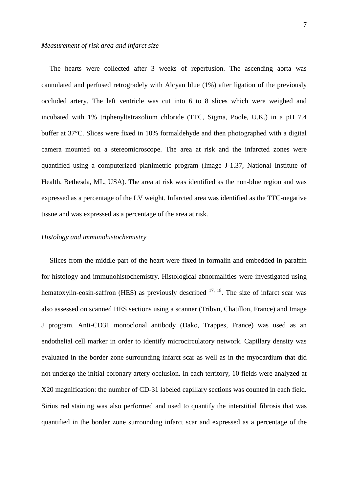#### *Measurement of risk area and infarct size*

The hearts were collected after 3 weeks of reperfusion. The ascending aorta was cannulated and perfused retrogradely with Alcyan blue (1%) after ligation of the previously occluded artery. The left ventricle was cut into 6 to 8 slices which were weighed and incubated with 1% triphenyltetrazolium chloride (TTC, Sigma, Poole, U.K.) in a pH 7.4 buffer at 37°C. Slices were fixed in 10% formaldehyde and then photographed with a digital camera mounted on a stereomicroscope. The area at risk and the infarcted zones were quantified using a computerized planimetric program (Image J-1.37, National Institute of Health, Bethesda, ML, USA). The area at risk was identified as the non-blue region and was expressed as a percentage of the LV weight. Infarcted area was identified as the TTC-negative tissue and was expressed as a percentage of the area at risk.

#### *Histology and immunohistochemistry*

Slices from the middle part of the heart were fixed in formalin and embedded in paraffin for histology and immunohistochemistry. Histological abnormalities were investigated using hematoxylin-eosin-saffron (HES) as previously described  $17, 18$ . The size of infarct scar was also assessed on scanned HES sections using a scanner (Tribvn, Chatillon, France) and Image J program. Anti-CD31 monoclonal antibody (Dako, Trappes, France) was used as an endothelial cell marker in order to identify microcirculatory network. Capillary density was evaluated in the border zone surrounding infarct scar as well as in the myocardium that did not undergo the initial coronary artery occlusion. In each territory, 10 fields were analyzed at X20 magnification: the number of CD-31 labeled capillary sections was counted in each field. Sirius red staining was also performed and used to quantify the interstitial fibrosis that was quantified in the border zone surrounding infarct scar and expressed as a percentage of the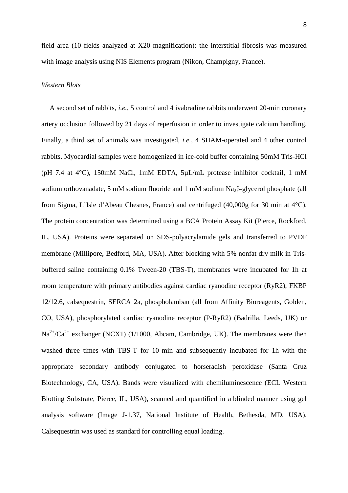field area (10 fields analyzed at X20 magnification): the interstitial fibrosis was measured with image analysis using NIS Elements program (Nikon, Champigny, France).

#### *Western Blots*

A second set of rabbits, *i.e.*, 5 control and 4 ivabradine rabbits underwent 20-min coronary artery occlusion followed by 21 days of reperfusion in order to investigate calcium handling. Finally, a third set of animals was investigated, *i.e.*, 4 SHAM-operated and 4 other control rabbits. Myocardial samples were homogenized in ice-cold buffer containing 50mM Tris-HCl (pH 7.4 at 4°C), 150mM NaCl, 1mM EDTA, 5µL/mL protease inhibitor cocktail, 1 mM sodium orthovanadate, 5 mM sodium fluoride and 1 mM sodium Na<sub>2</sub>β-glycerol phosphate (all from Sigma, L'Isle d'Abeau Chesnes, France) and centrifuged (40,000g for 30 min at 4°C). The protein concentration was determined using a BCA Protein Assay Kit (Pierce, Rockford, IL, USA). Proteins were separated on SDS-polyacrylamide gels and transferred to PVDF membrane (Millipore, Bedford, MA, USA). After blocking with 5% nonfat dry milk in Trisbuffered saline containing 0.1% Tween-20 (TBS-T), membranes were incubated for 1h at room temperature with primary antibodies against cardiac ryanodine receptor (RyR2), FKBP 12/12.6*,* calsequestrin, SERCA 2a, phospholamban (all from Affinity Bioreagents, Golden, CO, USA), phosphorylated cardiac ryanodine receptor (P-RyR2) (Badrilla, Leeds, UK) or  $Na^{2+}/Ca^{2+}$  exchanger (NCX1) (1/1000, Abcam, Cambridge, UK). The membranes were then washed three times with TBS-T for 10 min and subsequently incubated for 1h with the appropriate secondary antibody conjugated to horseradish peroxidase (Santa Cruz Biotechnology, CA, USA). Bands were visualized with chemiluminescence (ECL Western Blotting Substrate, Pierce, IL, USA), scanned and quantified in a blinded manner using gel analysis software (Image J-1.37, National Institute of Health, Bethesda, MD, USA). Calsequestrin was used as standard for controlling equal loading.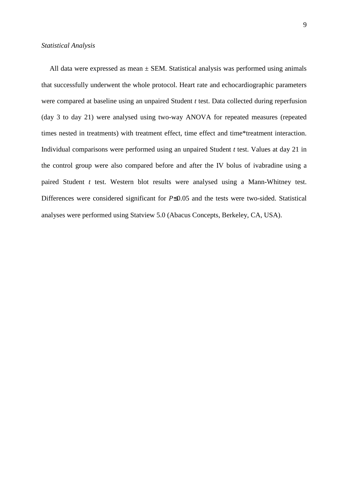All data were expressed as mean  $\pm$  SEM. Statistical analysis was performed using animals that successfully underwent the whole protocol. Heart rate and echocardiographic parameters were compared at baseline using an unpaired Student *t* test. Data collected during reperfusion (day 3 to day 21) were analysed using two-way ANOVA for repeated measures (repeated times nested in treatments) with treatment effect, time effect and time\*treatment interaction. Individual comparisons were performed using an unpaired Student *t* test. Values at day 21 in the control group were also compared before and after the IV bolus of ivabradine using a paired Student *t* test. Western blot results were analysed using a Mann-Whitney test. Differences were considered significant for *P*≤0.05 and the tests were two-sided. Statistical analyses were performed using Statview 5.0 (Abacus Concepts, Berkeley, CA, USA).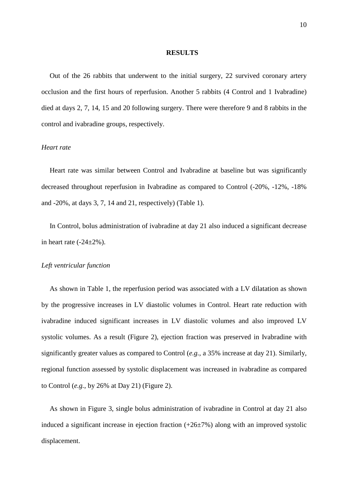#### **RESULTS**

Out of the 26 rabbits that underwent to the initial surgery, 22 survived coronary artery occlusion and the first hours of reperfusion. Another 5 rabbits (4 Control and 1 Ivabradine) died at days 2, 7, 14, 15 and 20 following surgery. There were therefore 9 and 8 rabbits in the control and ivabradine groups, respectively.

#### *Heart rate*

Heart rate was similar between Control and Ivabradine at baseline but was significantly decreased throughout reperfusion in Ivabradine as compared to Control (-20%, -12%, -18% and -20%, at days 3, 7, 14 and 21, respectively) (Table 1).

In Control, bolus administration of ivabradine at day 21 also induced a significant decrease in heart rate  $(-24\pm2\%)$ .

#### *Left ventricular function*

As shown in Table 1, the reperfusion period was associated with a LV dilatation as shown by the progressive increases in LV diastolic volumes in Control. Heart rate reduction with ivabradine induced significant increases in LV diastolic volumes and also improved LV systolic volumes. As a result (Figure 2), ejection fraction was preserved in Ivabradine with significantly greater values as compared to Control (*e.g.*, a 35% increase at day 21). Similarly, regional function assessed by systolic displacement was increased in ivabradine as compared to Control (*e.g.*, by 26% at Day 21) (Figure 2).

As shown in Figure 3, single bolus administration of ivabradine in Control at day 21 also induced a significant increase in ejection fraction  $(+26\pm7\%)$  along with an improved systolic displacement.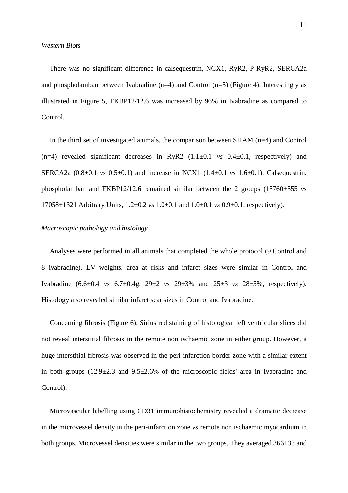There was no significant difference in calsequestrin, NCX1, RyR2, P-RyR2, SERCA2a and phospholamban between Ivabradine  $(n=4)$  and Control  $(n=5)$  (Figure 4). Interestingly as illustrated in Figure 5, FKBP12/12.6 was increased by 96% in Ivabradine as compared to Control.

In the third set of investigated animals, the comparison between SHAM (n=4) and Control (n=4) revealed significant decreases in RyR2 (1.1±0.1 *vs* 0.4±0.1, respectively) and SERCA2a (0.8±0.1 *vs* 0.5±0.1) and increase in NCX1 (1.4±0.1 *vs* 1.6±0.1). Calsequestrin, phospholamban and FKBP12/12.6 remained similar between the 2 groups (15760±555 *vs* 17058±1321 Arbitrary Units, 1.2±0.2 *vs* 1.0±0.1 and 1.0±0.1 *vs* 0.9±0.1, respectively).

#### *Macroscopic pathology and histology*

Analyses were performed in all animals that completed the whole protocol (9 Control and 8 ivabradine). LV weights, area at risks and infarct sizes were similar in Control and Ivabradine (6.6±0.4 *vs* 6.7±0.4g, 29±2 *vs* 29±3% and 25±3 *vs* 28±5%, respectively). Histology also revealed similar infarct scar sizes in Control and Ivabradine.

Concerning fibrosis (Figure 6), Sirius red staining of histological left ventricular slices did not reveal interstitial fibrosis in the remote non ischaemic zone in either group. However, a huge interstitial fibrosis was observed in the peri-infarction border zone with a similar extent in both groups (12.9±2.3 and 9.5±2.6% of the microscopic fields' area in Ivabradine and Control).

Microvascular labelling using CD31 immunohistochemistry revealed a dramatic decrease in the microvessel density in the peri-infarction zone *vs* remote non ischaemic myocardium in both groups. Microvessel densities were similar in the two groups. They averaged 366±33 and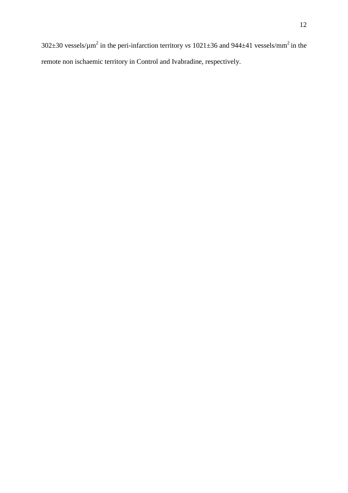302 $\pm$ 30 vessels/ $\mu$ m<sup>2</sup> in the peri-infarction territory *vs* 1021 $\pm$ 36 and 944 $\pm$ 41 vessels/mm<sup>2</sup> in the remote non ischaemic territory in Control and Ivabradine, respectively.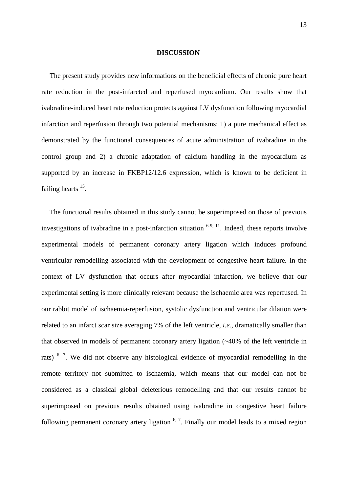#### **DISCUSSION**

The present study provides new informations on the beneficial effects of chronic pure heart rate reduction in the post-infarcted and reperfused myocardium. Our results show that ivabradine-induced heart rate reduction protects against LV dysfunction following myocardial infarction and reperfusion through two potential mechanisms: 1) a pure mechanical effect as demonstrated by the functional consequences of acute administration of ivabradine in the control group and 2) a chronic adaptation of calcium handling in the myocardium as supported by an increase in FKBP12/12.6 expression, which is known to be deficient in failing hearts  $15$ .

The functional results obtained in this study cannot be superimposed on those of previous investigations of ivabradine in a post-infarction situation  $6-9$ ,  $11$ . Indeed, these reports involve experimental models of permanent coronary artery ligation which induces profound ventricular remodelling associated with the development of congestive heart failure. In the context of LV dysfunction that occurs after myocardial infarction, we believe that our experimental setting is more clinically relevant because the ischaemic area was reperfused. In our rabbit model of ischaemia-reperfusion, systolic dysfunction and ventricular dilation were related to an infarct scar size averaging 7% of the left ventricle, *i.e.*, dramatically smaller than that observed in models of permanent coronary artery ligation (~40% of the left ventricle in rats)  $6, 7$ . We did not observe any histological evidence of myocardial remodelling in the remote territory not submitted to ischaemia, which means that our model can not be considered as a classical global deleterious remodelling and that our results cannot be superimposed on previous results obtained using ivabradine in congestive heart failure following permanent coronary artery ligation  $6, 7$ . Finally our model leads to a mixed region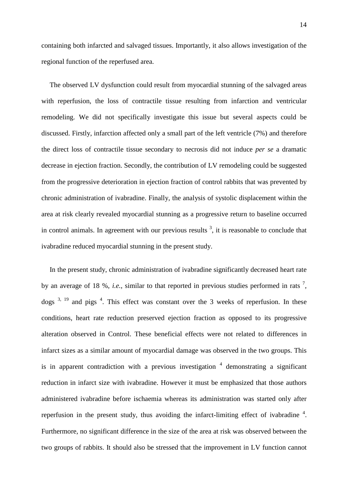containing both infarcted and salvaged tissues. Importantly, it also allows investigation of the regional function of the reperfused area.

The observed LV dysfunction could result from myocardial stunning of the salvaged areas with reperfusion, the loss of contractile tissue resulting from infarction and ventricular remodeling. We did not specifically investigate this issue but several aspects could be discussed. Firstly, infarction affected only a small part of the left ventricle (7%) and therefore the direct loss of contractile tissue secondary to necrosis did not induce *per se* a dramatic decrease in ejection fraction. Secondly, the contribution of LV remodeling could be suggested from the progressive deterioration in ejection fraction of control rabbits that was prevented by chronic administration of ivabradine. Finally, the analysis of systolic displacement within the area at risk clearly revealed myocardial stunning as a progressive return to baseline occurred in control animals. In agreement with our previous results  $3$ , it is reasonable to conclude that ivabradine reduced myocardial stunning in the present study.

In the present study, chronic administration of ivabradine significantly decreased heart rate by an average of 18 %, *i.e.*, similar to that reported in previous studies performed in rats  $^7$ , dogs  $3, 19$  and pigs  $4$ . This effect was constant over the 3 weeks of reperfusion. In these conditions, heart rate reduction preserved ejection fraction as opposed to its progressive alteration observed in Control. These beneficial effects were not related to differences in infarct sizes as a similar amount of myocardial damage was observed in the two groups. This is in apparent contradiction with a previous investigation  $4$  demonstrating a significant reduction in infarct size with ivabradine. However it must be emphasized that those authors administered ivabradine before ischaemia whereas its administration was started only after reperfusion in the present study, thus avoiding the infarct-limiting effect of ivabradine  $4$ . Furthermore, no significant difference in the size of the area at risk was observed between the two groups of rabbits. It should also be stressed that the improvement in LV function cannot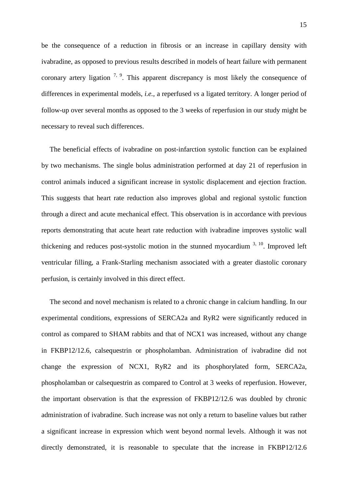be the consequence of a reduction in fibrosis or an increase in capillary density with ivabradine, as opposed to previous results described in models of heart failure with permanent coronary artery ligation  $7, 9$ . This apparent discrepancy is most likely the consequence of differences in experimental models, *i.e.*, a reperfused *vs* a ligated territory. A longer period of follow-up over several months as opposed to the 3 weeks of reperfusion in our study might be necessary to reveal such differences.

The beneficial effects of ivabradine on post-infarction systolic function can be explained by two mechanisms. The single bolus administration performed at day 21 of reperfusion in control animals induced a significant increase in systolic displacement and ejection fraction. This suggests that heart rate reduction also improves global and regional systolic function through a direct and acute mechanical effect. This observation is in accordance with previous reports demonstrating that acute heart rate reduction with ivabradine improves systolic wall thickening and reduces post-systolic motion in the stunned myocardium  $3, 10$ . Improved left ventricular filling, a Frank-Starling mechanism associated with a greater diastolic coronary perfusion, is certainly involved in this direct effect.

The second and novel mechanism is related to a chronic change in calcium handling. In our experimental conditions, expressions of SERCA2a and RyR2 were significantly reduced in control as compared to SHAM rabbits and that of NCX1 was increased, without any change in FKBP12/12.6, calsequestrin or phospholamban. Administration of ivabradine did not change the expression of NCX1, RyR2 and its phosphorylated form, SERCA2a, phospholamban or calsequestrin as compared to Control at 3 weeks of reperfusion. However, the important observation is that the expression of FKBP12/12.6 was doubled by chronic administration of ivabradine. Such increase was not only a return to baseline values but rather a significant increase in expression which went beyond normal levels. Although it was not directly demonstrated, it is reasonable to speculate that the increase in FKBP12/12.6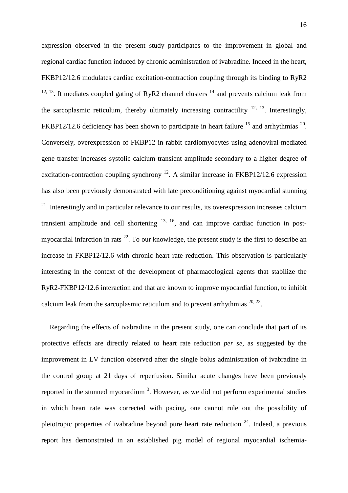expression observed in the present study participates to the improvement in global and regional cardiac function induced by chronic administration of ivabradine. Indeed in the heart, FKBP12/12.6 modulates cardiac excitation-contraction coupling through its binding to RyR2  $12, 13$ . It mediates coupled gating of RyR2 channel clusters  $14$  and prevents calcium leak from the sarcoplasmic reticulum, thereby ultimately increasing contractility  $^{12, 13}$ . Interestingly, FKBP12/12.6 deficiency has been shown to participate in heart failure  $^{15}$  and arrhythmias  $^{20}$ . Conversely, overexpression of FKBP12 in rabbit cardiomyocytes using adenoviral-mediated gene transfer increases systolic calcium transient amplitude secondary to a higher degree of excitation-contraction coupling synchrony  $^{12}$ . A similar increase in FKBP12/12.6 expression has also been previously demonstrated with late preconditioning against myocardial stunning  $21$ . Interestingly and in particular relevance to our results, its overexpression increases calcium transient amplitude and cell shortening  $^{13, 16}$ , and can improve cardiac function in postmyocardial infarction in rats  $^{22}$ . To our knowledge, the present study is the first to describe an increase in FKBP12/12.6 with chronic heart rate reduction. This observation is particularly interesting in the context of the development of pharmacological agents that stabilize the RyR2-FKBP12/12.6 interaction and that are known to improve myocardial function, to inhibit calcium leak from the sarcoplasmic reticulum and to prevent arrhythmias  $20, 23$ .

Regarding the effects of ivabradine in the present study, one can conclude that part of its protective effects are directly related to heart rate reduction *per se*, as suggested by the improvement in LV function observed after the single bolus administration of ivabradine in the control group at 21 days of reperfusion. Similar acute changes have been previously reported in the stunned myocardium<sup>3</sup>. However, as we did not perform experimental studies in which heart rate was corrected with pacing, one cannot rule out the possibility of pleiotropic properties of ivabradine beyond pure heart rate reduction  $24$ . Indeed, a previous report has demonstrated in an established pig model of regional myocardial ischemia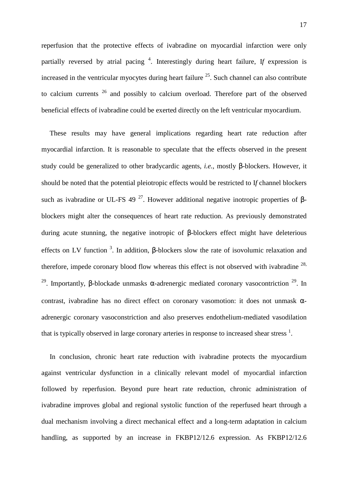reperfusion that the protective effects of ivabradine on myocardial infarction were only partially reversed by atrial pacing <sup>4</sup>. Interestingly during heart failure, If expression is increased in the ventricular myocytes during heart failure  $2<sup>5</sup>$ . Such channel can also contribute to calcium currents <sup>26</sup> and possibly to calcium overload. Therefore part of the observed beneficial effects of ivabradine could be exerted directly on the left ventricular myocardium.

These results may have general implications regarding heart rate reduction after myocardial infarction. It is reasonable to speculate that the effects observed in the present study could be generalized to other bradycardic agents, *i.e.*, mostly β-blockers. However, it should be noted that the potential pleiotropic effects would be restricted to I*f* channel blockers such as ivabradine or UL-FS 49<sup>27</sup>. However additional negative inotropic properties of βblockers might alter the consequences of heart rate reduction. As previously demonstrated during acute stunning, the negative inotropic of β-blockers effect might have deleterious effects on LV function<sup>3</sup>. In addition, β-blockers slow the rate of isovolumic relaxation and therefore, impede coronary blood flow whereas this effect is not observed with ivabradine  $^{28}$ , <sup>29</sup>. Importantly, β-blockade unmasks  $\alpha$ -adrenergic mediated coronary vasocontriction <sup>29</sup>. In contrast, ivabradine has no direct effect on coronary vasomotion: it does not unmask αadrenergic coronary vasoconstriction and also preserves endothelium-mediated vasodilation that is typically observed in large coronary arteries in response to increased shear stress  $<sup>1</sup>$ .</sup>

In conclusion, chronic heart rate reduction with ivabradine protects the myocardium against ventricular dysfunction in a clinically relevant model of myocardial infarction followed by reperfusion. Beyond pure heart rate reduction, chronic administration of ivabradine improves global and regional systolic function of the reperfused heart through a dual mechanism involving a direct mechanical effect and a long-term adaptation in calcium handling, as supported by an increase in FKBP12/12.6 expression. As FKBP12/12.6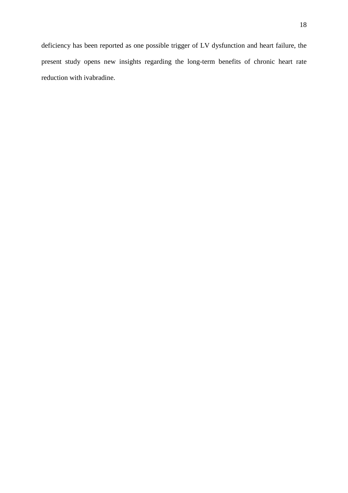deficiency has been reported as one possible trigger of LV dysfunction and heart failure, the present study opens new insights regarding the long-term benefits of chronic heart rate reduction with ivabradine.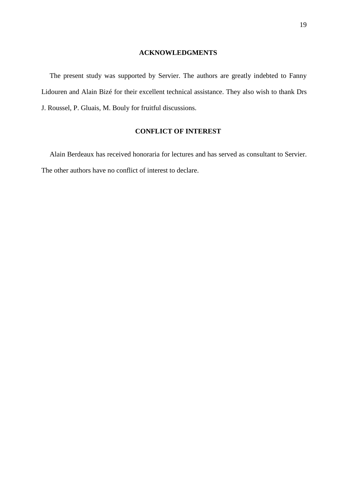#### **ACKNOWLEDGMENTS**

The present study was supported by Servier. The authors are greatly indebted to Fanny Lidouren and Alain Bizé for their excellent technical assistance. They also wish to thank Drs J. Roussel, P. Gluais, M. Bouly for fruitful discussions.

#### **CONFLICT OF INTEREST**

Alain Berdeaux has received honoraria for lectures and has served as consultant to Servier. The other authors have no conflict of interest to declare.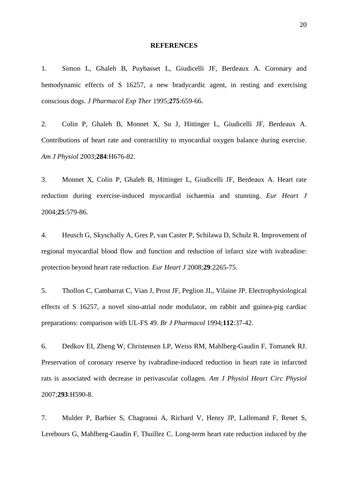#### **REFERENCES**

1. Simon L, Ghaleh B, Puybasset L, Giudicelli JF, Berdeaux A. Coronary and hemodynamic effects of S 16257, a new bradycardic agent, in resting and exercising conscious dogs. *J Pharmacol Exp Ther* 1995;**275**:659-66.

2. Colin P, Ghaleh B, Monnet X, Su J, Hittinger L, Giudicelli JF, Berdeaux A. Contributions of heart rate and contractility to myocardial oxygen balance during exercise. *Am J Physiol* 2003;**284**:H676-82.

3. Monnet X, Colin P, Ghaleh B, Hittinger L, Giudicelli JF, Berdeaux A. Heart rate reduction during exercise-induced myocardial ischaemia and stunning. *Eur Heart J*  2004;**25**:579-86.

4. Heusch G, Skyschally A, Gres P, van Caster P, Schilawa D, Schulz R. Improvement of regional myocardial blood flow and function and reduction of infarct size with ivabradine: protection beyond heart rate reduction. *Eur Heart J* 2008;**29**:2265-75.

5. Thollon C, Cambarrat C, Vian J, Prost JF, Peglion JL, Vilaine JP. Electrophysiological effects of S 16257, a novel sino-atrial node modulator, on rabbit and guinea-pig cardiac preparations: comparison with UL-FS 49. *Br J Pharmacol* 1994;**112**:37-42.

6. Dedkov EI, Zheng W, Christensen LP, Weiss RM, Mahlberg-Gaudin F, Tomanek RJ. Preservation of coronary reserve by ivabradine-induced reduction in heart rate in infarcted rats is associated with decrease in perivascular collagen. *Am J Physiol Heart Circ Physiol*  2007;**293**:H590-8.

7. Mulder P, Barbier S, Chagraoui A, Richard V, Henry JP, Lallemand F, Renet S, Lerebours G, Mahlberg-Gaudin F, Thuillez C. Long-term heart rate reduction induced by the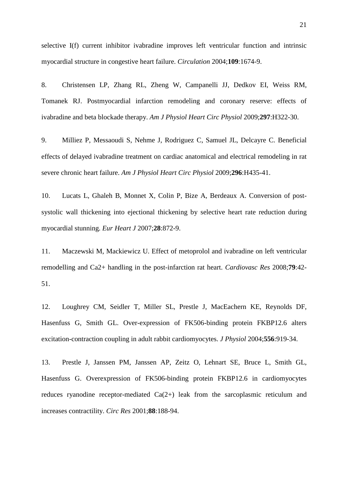selective I(f) current inhibitor ivabradine improves left ventricular function and intrinsic myocardial structure in congestive heart failure. *Circulation* 2004;**109**:1674-9.

8. Christensen LP, Zhang RL, Zheng W, Campanelli JJ, Dedkov EI, Weiss RM, Tomanek RJ. Postmyocardial infarction remodeling and coronary reserve: effects of ivabradine and beta blockade therapy. *Am J Physiol Heart Circ Physiol* 2009;**297**:H322-30.

9. Milliez P, Messaoudi S, Nehme J, Rodriguez C, Samuel JL, Delcayre C. Beneficial effects of delayed ivabradine treatment on cardiac anatomical and electrical remodeling in rat severe chronic heart failure. *Am J Physiol Heart Circ Physiol* 2009;**296**:H435-41.

10. Lucats L, Ghaleh B, Monnet X, Colin P, Bize A, Berdeaux A. Conversion of postsystolic wall thickening into ejectional thickening by selective heart rate reduction during myocardial stunning. *Eur Heart J* 2007;**28**:872-9.

11. Maczewski M, Mackiewicz U. Effect of metoprolol and ivabradine on left ventricular remodelling and Ca2+ handling in the post-infarction rat heart. *Cardiovasc Res* 2008;**79**:42- 51.

12. Loughrey CM, Seidler T, Miller SL, Prestle J, MacEachern KE, Reynolds DF, Hasenfuss G, Smith GL. Over-expression of FK506-binding protein FKBP12.6 alters excitation-contraction coupling in adult rabbit cardiomyocytes. *J Physiol* 2004;**556**:919-34.

13. Prestle J, Janssen PM, Janssen AP, Zeitz O, Lehnart SE, Bruce L, Smith GL, Hasenfuss G. Overexpression of FK506-binding protein FKBP12.6 in cardiomyocytes reduces ryanodine receptor-mediated Ca(2+) leak from the sarcoplasmic reticulum and increases contractility. *Circ Res* 2001;**88**:188-94.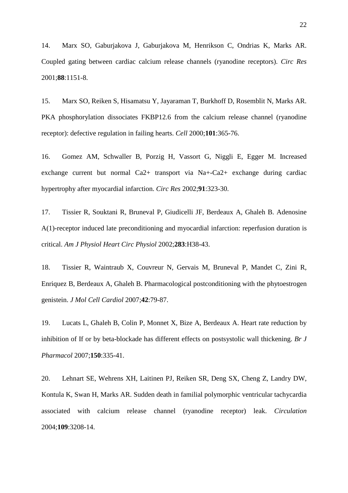14. Marx SO, Gaburjakova J, Gaburjakova M, Henrikson C, Ondrias K, Marks AR. Coupled gating between cardiac calcium release channels (ryanodine receptors). *Circ Res*  2001;**88**:1151-8.

15. Marx SO, Reiken S, Hisamatsu Y, Jayaraman T, Burkhoff D, Rosemblit N, Marks AR. PKA phosphorylation dissociates FKBP12.6 from the calcium release channel (ryanodine receptor): defective regulation in failing hearts. *Cell* 2000;**101**:365-76.

16. Gomez AM, Schwaller B, Porzig H, Vassort G, Niggli E, Egger M. Increased exchange current but normal Ca2+ transport via Na+-Ca2+ exchange during cardiac hypertrophy after myocardial infarction. *Circ Res* 2002;**91**:323-30.

17. Tissier R, Souktani R, Bruneval P, Giudicelli JF, Berdeaux A, Ghaleh B. Adenosine A(1)-receptor induced late preconditioning and myocardial infarction: reperfusion duration is critical. *Am J Physiol Heart Circ Physiol* 2002;**283**:H38-43.

18. Tissier R, Waintraub X, Couvreur N, Gervais M, Bruneval P, Mandet C, Zini R, Enriquez B, Berdeaux A, Ghaleh B. Pharmacological postconditioning with the phytoestrogen genistein. *J Mol Cell Cardiol* 2007;**42**:79-87.

19. Lucats L, Ghaleh B, Colin P, Monnet X, Bize A, Berdeaux A. Heart rate reduction by inhibition of If or by beta-blockade has different effects on postsystolic wall thickening. *Br J Pharmacol* 2007;**150**:335-41.

20. Lehnart SE, Wehrens XH, Laitinen PJ, Reiken SR, Deng SX, Cheng Z, Landry DW, Kontula K, Swan H, Marks AR. Sudden death in familial polymorphic ventricular tachycardia associated with calcium release channel (ryanodine receptor) leak. *Circulation*  2004;**109**:3208-14.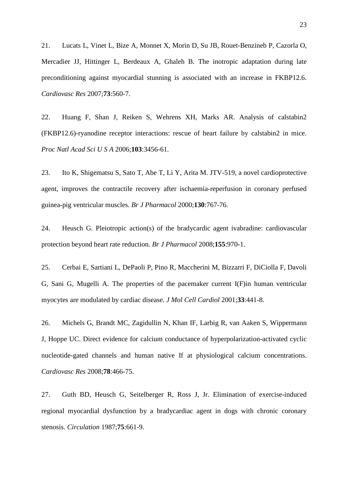21. Lucats L, Vinet L, Bize A, Monnet X, Morin D, Su JB, Rouet-Benzineb P, Cazorla O, Mercadier JJ, Hittinger L, Berdeaux A, Ghaleh B. The inotropic adaptation during late preconditioning against myocardial stunning is associated with an increase in FKBP12.6. *Cardiovasc Res* 2007;**73**:560-7.

22. Huang F, Shan J, Reiken S, Wehrens XH, Marks AR. Analysis of calstabin2 (FKBP12.6)-ryanodine receptor interactions: rescue of heart failure by calstabin2 in mice. *Proc Natl Acad Sci U S A* 2006;**103**:3456-61.

23. Ito K, Shigematsu S, Sato T, Abe T, Li Y, Arita M. JTV-519, a novel cardioprotective agent, improves the contractile recovery after ischaemia-reperfusion in coronary perfused guinea-pig ventricular muscles. *Br J Pharmacol* 2000;**130**:767-76.

24. Heusch G. Pleiotropic action(s) of the bradycardic agent ivabradine: cardiovascular protection beyond heart rate reduction. *Br J Pharmacol* 2008;**155**:970-1.

25. Cerbai E, Sartiani L, DePaoli P, Pino R, Maccherini M, Bizzarri F, DiCiolla F, Davoli G, Sani G, Mugelli A. The properties of the pacemaker current I(F)in human ventricular myocytes are modulated by cardiac disease. *J Mol Cell Cardiol* 2001;**33**:441-8.

26. Michels G, Brandt MC, Zagidullin N, Khan IF, Larbig R, van Aaken S, Wippermann J, Hoppe UC. Direct evidence for calcium conductance of hyperpolarization-activated cyclic nucleotide-gated channels and human native If at physiological calcium concentrations. *Cardiovasc Res* 2008;**78**:466-75.

27. Guth BD, Heusch G, Seitelberger R, Ross J, Jr. Elimination of exercise-induced regional myocardial dysfunction by a bradycardiac agent in dogs with chronic coronary stenosis. *Circulation* 1987;**75**:661-9.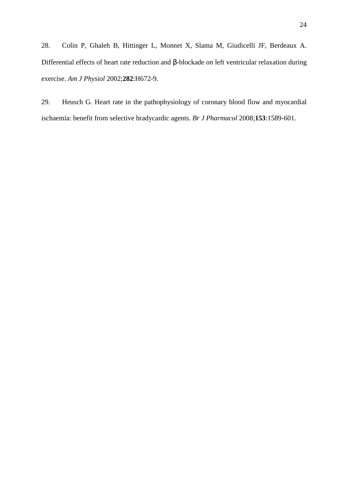28. Colin P, Ghaleh B, Hittinger L, Monnet X, Slama M, Giudicelli JF, Berdeaux A. Differential effects of heart rate reduction and β-blockade on left ventricular relaxation during exercise. *Am J Physiol* 2002;**282**:H672-9.

29. Heusch G. Heart rate in the pathophysiology of coronary blood flow and myocardial ischaemia: benefit from selective bradycardic agents. *Br J Pharmacol* 2008;**153**:1589-601.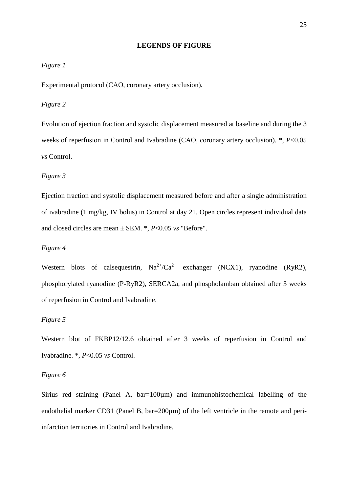#### **LEGENDS OF FIGURE**

#### *Figure 1*

Experimental protocol (CAO, coronary artery occlusion)*.*

#### *Figure 2*

Evolution of ejection fraction and systolic displacement measured at baseline and during the 3 weeks of reperfusion in Control and Ivabradine (CAO, coronary artery occlusion). \*, *P*<0.05 *vs* Control.

#### *Figure 3*

Ejection fraction and systolic displacement measured before and after a single administration of ivabradine (1 mg/kg, IV bolus) in Control at day 21. Open circles represent individual data and closed circles are mean ± SEM. \*, *P*<0.05 *vs* "Before".

#### *Figure 4*

Western blots of calsequestrin,  $Na^{2+}/Ca^{2+}$  exchanger (NCX1), ryanodine (RyR2), phosphorylated ryanodine (P-RyR2), SERCA2a, and phospholamban obtained after 3 weeks of reperfusion in Control and Ivabradine.

#### *Figure 5*

Western blot of FKBP12/12.6 obtained after 3 weeks of reperfusion in Control and Ivabradine. \*, *P*<0.05 *vs* Control.

#### *Figure 6*

Sirius red staining (Panel A,  $bar=100\mu m$ ) and immunohistochemical labelling of the endothelial marker CD31 (Panel B, bar=200 $\mu$ m) of the left ventricle in the remote and periinfarction territories in Control and Ivabradine.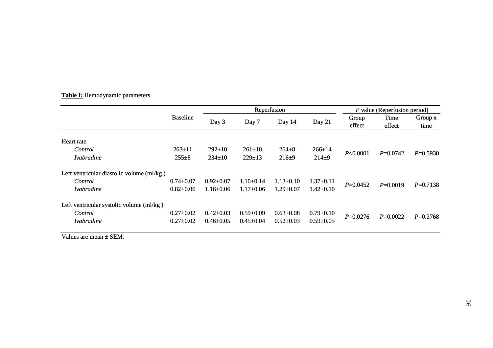| Table I: Hemodynamic parameters |
|---------------------------------|
|---------------------------------|

|                                                                           |                                    | Reperfusion                        |                                    |                                    |                                    | P value (Reperfusion period) |                |                 |
|---------------------------------------------------------------------------|------------------------------------|------------------------------------|------------------------------------|------------------------------------|------------------------------------|------------------------------|----------------|-----------------|
|                                                                           | <b>Baseline</b>                    | Day 3                              | Day 7                              | Day $14$                           | Day 21                             | Group<br>effect              | Time<br>effect | Group x<br>time |
| Heart rate                                                                |                                    |                                    |                                    |                                    |                                    |                              |                |                 |
| Control<br><i>Ivabradine</i>                                              | $263 \pm 11$<br>$255 \pm 8$        | $292 \pm 10$<br>$234 \pm 10$       | $261 \pm 10$<br>$229 \pm 13$       | $264 \pm 8$<br>$216+9$             | $266 \pm 14$<br>$214 + 9$          | P<0.0001                     | $P=0.0742$     | $P=0.5930$      |
| Left ventricular diastolic volume (ml/kg)<br>Control<br><i>Ivabradine</i> | $0.74 \pm 0.07$<br>$0.82{\pm}0.06$ | $0.92 \pm 0.07$<br>$1.16 \pm 0.06$ | $1.10\pm0.14$<br>$1.17 \pm 0.06$   | $1.13 \pm 0.10$<br>$1.29 \pm 0.07$ | $1.37 \pm 0.11$<br>$1.42 \pm 0.10$ | $P=0.0452$                   | $P=0.0019$     | $P=0.7138$      |
| Left ventricular systolic volume (ml/kg)<br>Control<br><i>Ivabradine</i>  | $0.27+0.02$<br>$0.27 \pm 0.02$     | $0.42 \pm 0.03$<br>$0.46 \pm 0.05$ | $0.59 \pm 0.09$<br>$0.45 \pm 0.04$ | $0.63 \pm 0.08$<br>$0.52 \pm 0.03$ | $0.79 \pm 0.10$<br>$0.59 \pm 0.05$ | $P=0.0276$                   | $P=0.0022$     | $P=0.2768$      |

Values are mean <sup>±</sup> SEM.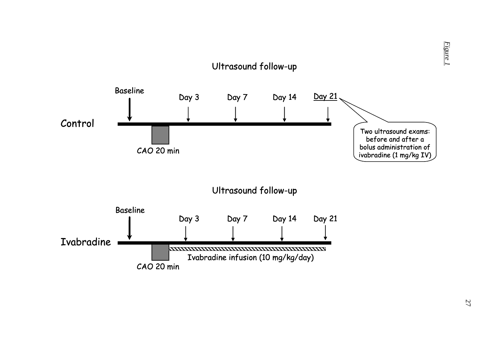

*Figure 1*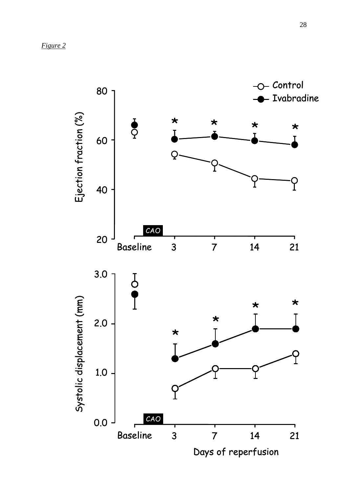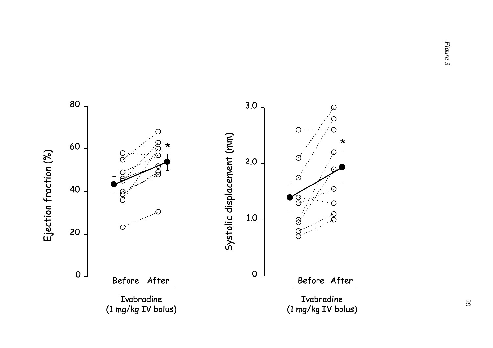803.0 $\varnothing$ O  $\bigcirc$  $\odot$ Systolic displacement (mm) Systolic displacement (mm) \*60\*Ejection fraction (%) Ejection fraction (%)  $\frac{O}{O}$  $\circlearrowleft$ 2.0 $\circ$ 40 $\cal C$ **e** ဝ C 1.0 $\Theta$  $\Theta$ 20 $\overline{g}$  $\circ$   $\overline{\phantom{0}}$  $0<sub>1</sub>$ Before After Before After IvabradineIvabradine (1 mg/kg IV bolus)(1 mg/kg IV bolus) *Figure 3*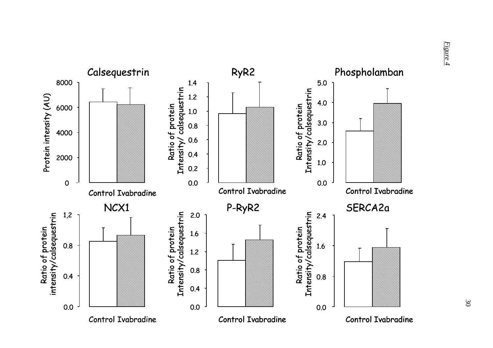

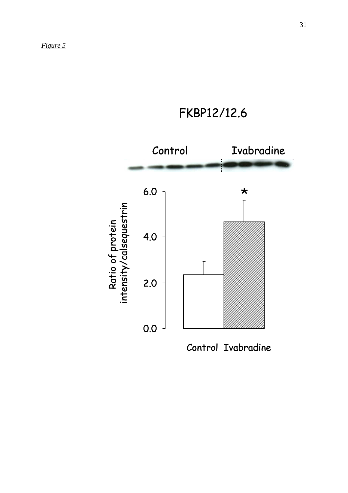FKBP12/12.6



Control Ivabradine